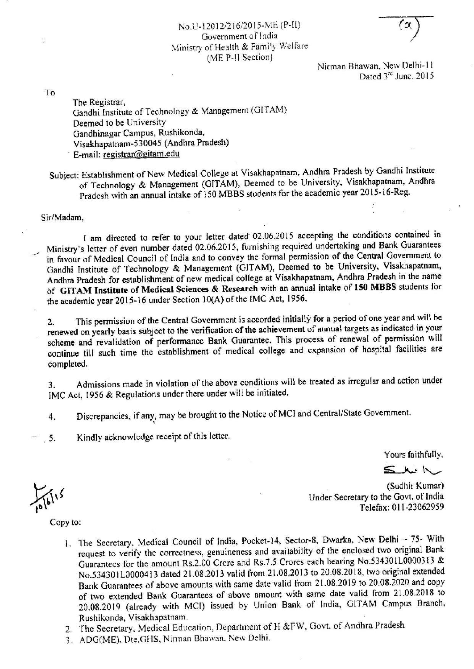## No.U-12012/216/2015-ME (P-II) Government of India Ministry of Health & Family Welfare (ME P-II Section)

Nirman Bhawan, New Delhi-11 Dated 3rd June, 2015

To

The Registrar, Gandhi Institute of Technology & Management (GITAM) Deemed to be University Gandhinagar Campus, Rushikonda, Visakhapatnam-530045 (Andhra Pradesh) E-mail: registrar@gitam.edu

Subject: Establishment of New Medical College at Visakhapatnam, Andhra Pradesh by Gandhi Institute of Technology & Management (GITAM), Deemed to be University, Visakhapatnam, Andhra Pradesh with an annual intake of 150 MBBS students for the academic year 2015-16-Reg.

Sir/Madam.

I am directed to refer to your letter dated 02.06.2015 accepting the conditions contained in Ministry's letter of even number dated 02.06.2015, furnishing required undertaking and Bank Guarantees in favour of Medical Council of India and to convey the formal permission of the Central Government to Gandhi Institute of Technology & Management (GITAM), Deemed to be University, Visakhapatnam, Andhra Pradesh for establishment of new medical college at Visakhapatnam, Andhra Pradesh in the name of GITAM Institute of Medical Sciences & Research with an annual intake of 150 MBBS students for the academic year 2015-16 under Section 10(A) of the IMC Act, 1956.

This permission of the Central Government is accorded initially for a period of one year and will be  $2.$ renewed on yearly basis subject to the verification of the achievement of annual targets as indicated in your scheme and revalidation of performance Bank Guarantee. This process of renewal of permission will continue till such time the establishment of medical college and expansion of hospital facilities are completed.

Admissions made in violation of the above conditions will be treated as irregular and action under  $3.$ IMC Act, 1956 & Regulations under there under will be initiated.

Discrepancies, if any, may be brought to the Notice of MCI and Central/State Government.  $4.$ 

Kindly acknowledge receipt of this letter.  $\overline{\phantom{1}}$  5.

Yours faithfully,

 $5.1.1<sub>2</sub>$ 

(Sudhir Kumar) Under Secretary to the Govt. of India Telefax: 011-23062959

Copy to:

- 1. The Secretary, Medical Council of India, Pocket-14, Sector-8, Dwarka, New Delhi 75- With request to verify the correctness, genuineness and availability of the enclosed two original Bank Guarantees for the amount Rs.2.00 Crore and Rs.7.5 Crores each bearing No.534301L0000313 & No.534301L0000413 dated 21.08.2013 valid from 21.08.2013 to 20.08.2018, two original extended Bank Guarantees of above amounts with same date valid from 21.08.2019 to 20.08.2020 and copy of two extended Bank Guarantees of above amount with same date valid from 21.08.2018 to 20.08.2019 (already with MCI) issued by Union Bank of India, GITAM Campus Branch, Rushikonda, Visakhapatnam.
- 2. The Secretary, Medical Education, Department of H &FW, Govt. of Andhra Pradesh
- 3. ADG(ME), Dte.GHS, Nirman Bhawan, New Delhi.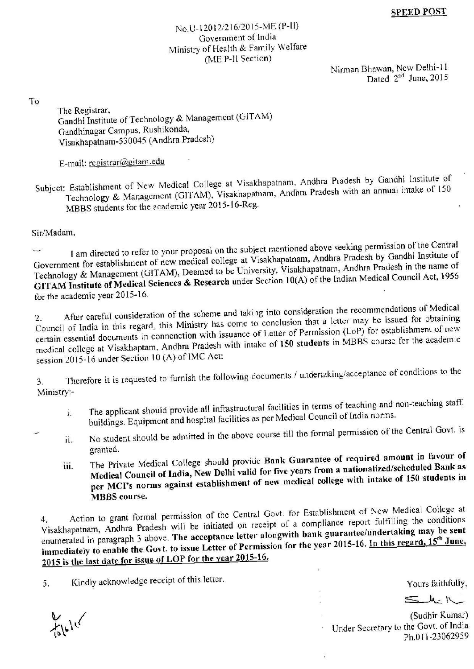## No.U-12012/216/2015-ME (P-II) Government of India Ministry of Health & Family Welfare (ME P-II Section)

Nirman Bhawan, New Delhi-11 Dated 2<sup>nd</sup> June, 2015

To

The Registrar, Gandhi Institute of Technology & Management (GITAM) Gandhinagar Campus, Rushikonda, Visakhapatnam-530045 (Andhra Pradesh)

E-mail: registrar@gitam.edu

Subject: Establishment of New Medical College at Visakhapatnam, Andhra Pradesh by Gandhi Institute of Technology & Management (GITAM), Visakhapatnam, Andhra Pradesh with an annual intake of 150 MBBS students for the academic year 2015-16-Reg.

Sir/Madam,

I am directed to refer to your proposal on the subject mentioned above seeking permission of the Central Government for establishment of new medical college at Visakhapatnam, Andhra Pradesh by Gandhi Institute of Technology & Management (GITAM), Deemed to be University, Visakhapatnam, Andhra Pradesh in the name of GITAM Institute of Medical Sciences & Research under Section 10(A) of the Indian Medical Council Act, 1956 for the academic year 2015-16.

After careful consideration of the scheme and taking into consideration the recommendations of Medical Council of India in this regard, this Ministry has come to conclusion that a letter may be issued for obtaining certain essential documents in connenction with issuance of Letter of Permission (LoP) for establishment of new medical college at Visakhaptam, Andhra Pradesh with intake of 150 students in MBBS course for the academic session 2015-16 under Section 10 (A) of IMC Act:

Therefore it is requested to furnish the following documents / undertaking/acceptance of conditions to the  $3.$ Ministry:-

- The applicant should provide all infrastructural facilities in terms of teaching and non-teaching staff, i. buildings. Equipment and hospital facilities as per Medical Council of India norms.
- No student should be admitted in the above course till the formal permission of the Central Govt. is ii. granted.
- The Private Medical College should provide Bank Guarantee of required amount in favour of Medical Council of India, New Delhi valid for five years from a nationalized/scheduled Bank as iii. per MCI's norms against establishment of new medical college with intake of 150 students in **MBBS** course.

Action to grant formal permission of the Central Govt. for Establishment of New Medical College at Visakhapatnam, Andhra Pradesh will be initiated on receipt of a compliance report fulfilling the conditions enumerated in paragraph 3 above. The acceptance letter alongwith bank guarantee/undertaking may be sent immediately to enable the Govt. to issue Letter of Permission for the year 2015-16. In this regard, 15<sup>th</sup> June, 2015 is the last date for issue of LOP for the year 2015-16.

Kindly acknowledge receipt of this letter. 5.

 $K_{16}$ 

Yours faithfully,

 $5 - 4.1$ 

(Sudhir Kumar) Under Secretary to the Govt. of India Ph.011-23062959

 $\frac{1}{4}$